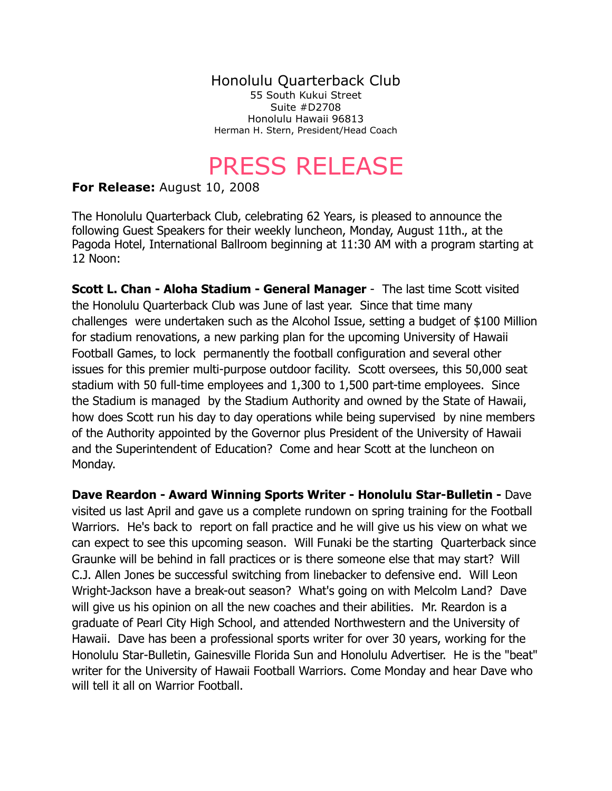Honolulu Quarterback Club 55 South Kukui Street Suite #D2708 Honolulu Hawaii 96813 Herman H. Stern, President/Head Coach

## PRESS RELEASE

## **For Release:** August 10, 2008

The Honolulu Quarterback Club, celebrating 62 Years, is pleased to announce the following Guest Speakers for their weekly luncheon, Monday, August 11th., at the Pagoda Hotel, International Ballroom beginning at 11:30 AM with a program starting at 12 Noon:

**Scott L. Chan - Aloha Stadium - General Manager** - The last time Scott visited the Honolulu Quarterback Club was June of last year. Since that time many challenges were undertaken such as the Alcohol Issue, setting a budget of \$100 Million for stadium renovations, a new parking plan for the upcoming University of Hawaii Football Games, to lock permanently the football configuration and several other issues for this premier multi-purpose outdoor facility. Scott oversees, this 50,000 seat stadium with 50 full-time employees and 1,300 to 1,500 part-time employees. Since the Stadium is managed by the Stadium Authority and owned by the State of Hawaii, how does Scott run his day to day operations while being supervised by nine members of the Authority appointed by the Governor plus President of the University of Hawaii and the Superintendent of Education? Come and hear Scott at the luncheon on Monday.

**Dave Reardon - Award Winning Sports Writer - Honolulu Star-Bulletin -** Dave visited us last April and gave us a complete rundown on spring training for the Football Warriors. He's back to report on fall practice and he will give us his view on what we can expect to see this upcoming season. Will Funaki be the starting Quarterback since Graunke will be behind in fall practices or is there someone else that may start?Will C.J. Allen Jones be successful switching from linebacker to defensive end. Will Leon Wright-Jackson have a break-out season? What's going on with Melcolm Land? Dave will give us his opinion on all the new coaches and their abilities. Mr. Reardon is a graduate of Pearl City High School, and attended Northwestern and the University of Hawaii. Dave has been a professional sports writer for over 30 years, working for the Honolulu Star-Bulletin, Gainesville Florida Sun and Honolulu Advertiser. He is the "beat" writer for the University of Hawaii Football Warriors. Come Monday and hear Dave who will tell it all on Warrior Football.